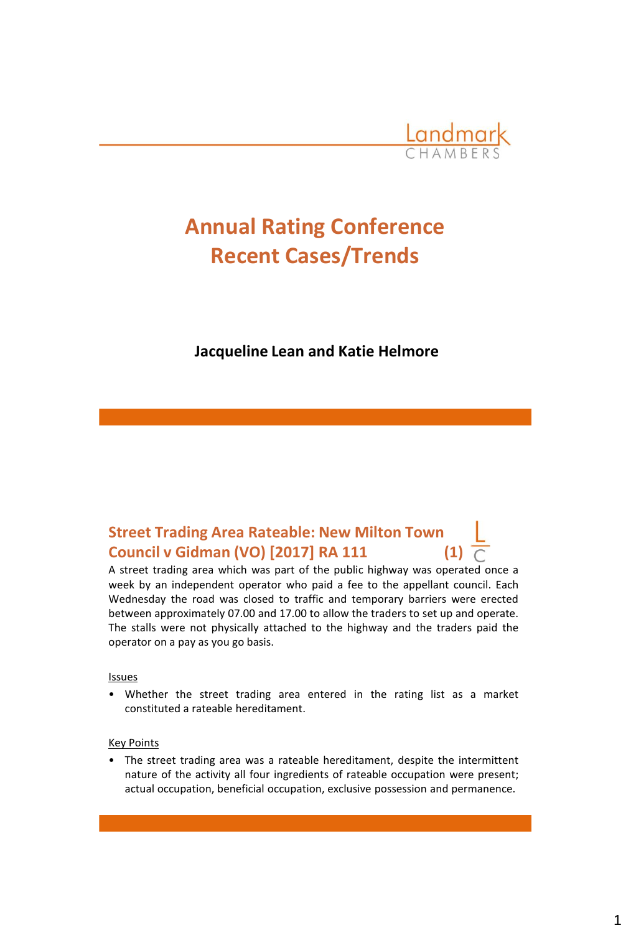

# **Annual Rating Conference Recent Cases/Trends**

#### **Jacqueline Lean and Katie Helmore**

### **Street Trading Area Rateable: New Milton Town Council v Gidman (VO) [2017] RA 111 (1)**

A street trading area which was part of the public highway was operated once a week by an independent operator who paid a fee to the appellant council. Each Wednesday the road was closed to traffic and temporary barriers were erected between approximately 07.00 and 17.00 to allow the traders to set up and operate. The stalls were not physically attached to the highway and the traders paid the operator on a pay as you go basis.

#### Issues

• Whether the street trading area entered in the rating list as a market constituted a rateable hereditament.

#### Key Points

• The street trading area was a rateable hereditament, despite the intermittent nature of the activity all four ingredients of rateable occupation were present; actual occupation, beneficial occupation, exclusive possession and permanence.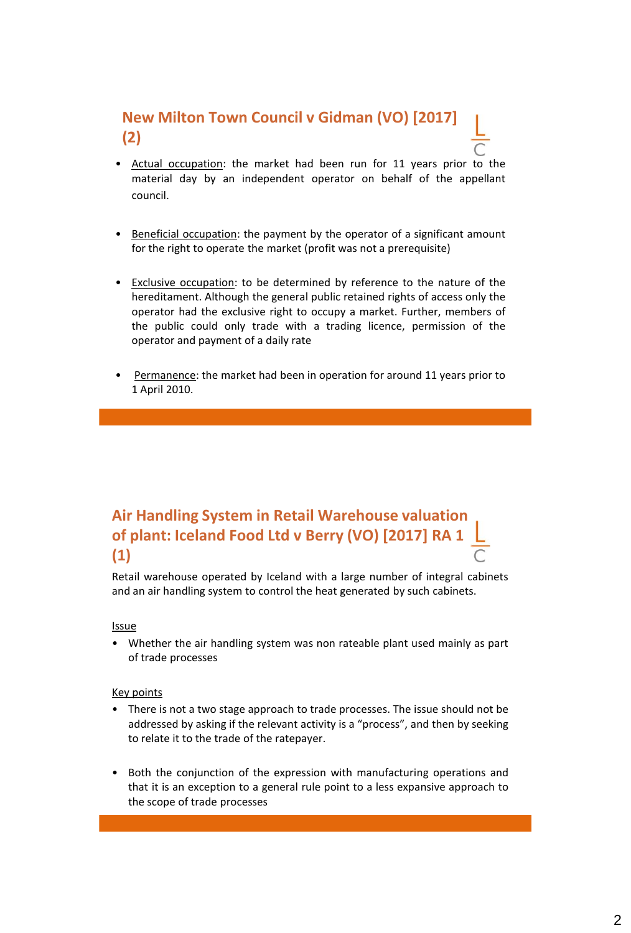### **New Milton Town Council v Gidman (VO) [2017] (2)**

- Actual occupation: the market had been run for 11 years prior to the material day by an independent operator on behalf of the appellant council.
- Beneficial occupation: the payment by the operator of a significant amount for the right to operate the market (profit was not a prerequisite)
- Exclusive occupation: to be determined by reference to the nature of the hereditament. Although the general public retained rights of access only the operator had the exclusive right to occupy a market. Further, members of the public could only trade with a trading licence, permission of the operator and payment of a daily rate
- Permanence: the market had been in operation for around 11 years prior to 1 April 2010.

### **Air Handling System in Retail Warehouse valuation of plant: Iceland Food Ltd v Berry (VO) [2017] RA 1 (1)**

Retail warehouse operated by Iceland with a large number of integral cabinets and an air handling system to control the heat generated by such cabinets.

#### Issue

• Whether the air handling system was non rateable plant used mainly as part of trade processes

- There is not a two stage approach to trade processes. The issue should not be addressed by asking if the relevant activity is a "process", and then by seeking to relate it to the trade of the ratepayer.
- Both the conjunction of the expression with manufacturing operations and that it is an exception to a general rule point to a less expansive approach to the scope of trade processes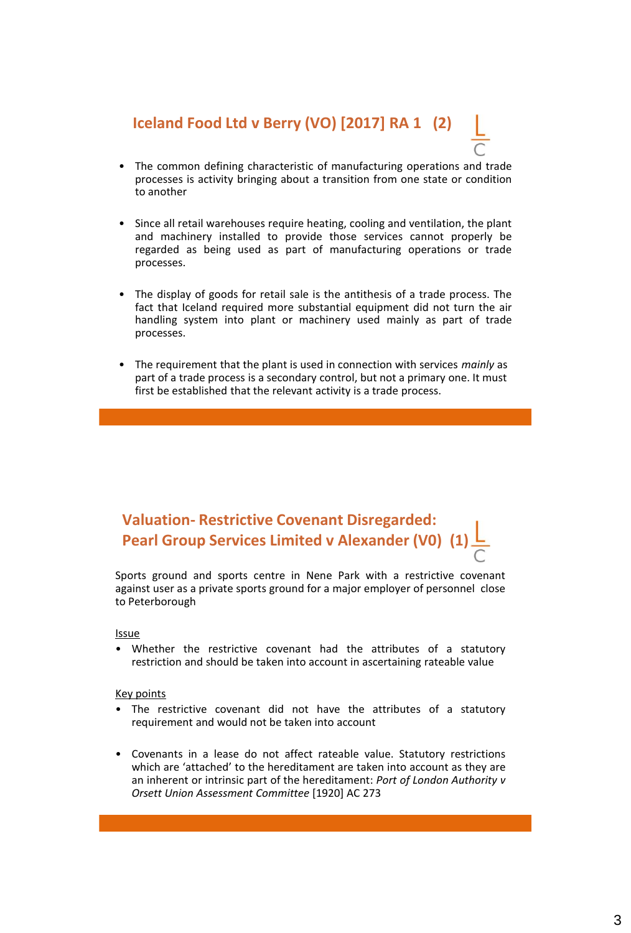### **Iceland Food Ltd v Berry (VO) [2017] RA 1 (2)**

- The common defining characteristic of manufacturing operations and trade processes is activity bringing about a transition from one state or condition to another
- Since all retail warehouses require heating, cooling and ventilation, the plant and machinery installed to provide those services cannot properly be regarded as being used as part of manufacturing operations or trade processes.
- The display of goods for retail sale is the antithesis of a trade process. The fact that Iceland required more substantial equipment did not turn the air handling system into plant or machinery used mainly as part of trade processes.
- The requirement that the plant is used in connection with services *mainly* as part of a trade process is a secondary control, but not a primary one. It must first be established that the relevant activity is a trade process.

### **Valuation- Restrictive Covenant Disregarded: Pearl Group Services Limited v Alexander (V0) (1)**

Sports ground and sports centre in Nene Park with a restrictive covenant against user as a private sports ground for a major employer of personnel close to Peterborough

#### Issue

Whether the restrictive covenant had the attributes of a statutory restriction and should be taken into account in ascertaining rateable value

- The restrictive covenant did not have the attributes of a statutory requirement and would not be taken into account
- Covenants in a lease do not affect rateable value. Statutory restrictions which are 'attached' to the hereditament are taken into account as they are an inherent or intrinsic part of the hereditament: *Port of London Authority v Orsett Union Assessment Committee* [1920] AC 273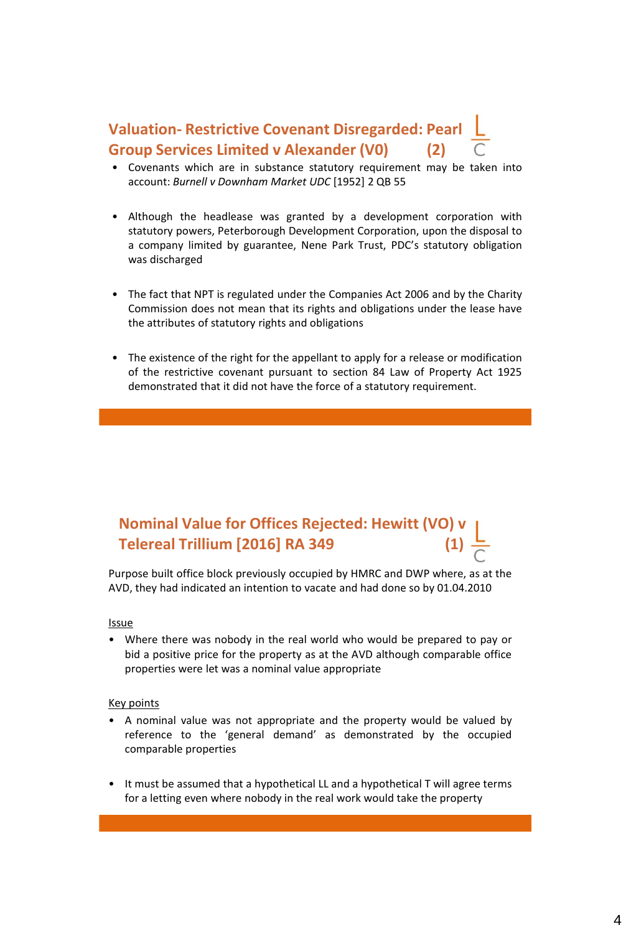### **Valuation- Restrictive Covenant Disregarded: Pearl Group Services Limited v Alexander (V0) (2)**

- Covenants which are in substance statutory requirement may be taken into account: *Burnell v Downham Market UDC* [1952] 2 QB 55
- Although the headlease was granted by a development corporation with statutory powers, Peterborough Development Corporation, upon the disposal to a company limited by guarantee, Nene Park Trust, PDC's statutory obligation was discharged
- The fact that NPT is regulated under the Companies Act 2006 and by the Charity Commission does not mean that its rights and obligations under the lease have the attributes of statutory rights and obligations
- The existence of the right for the appellant to apply for a release or modification of the restrictive covenant pursuant to section 84 Law of Property Act 1925 demonstrated that it did not have the force of a statutory requirement.

### **Nominal Value for Offices Rejected: Hewitt (VO) Telereal Trillium [2016] RA 349 (1)**

Purpose built office block previously occupied by HMRC and DWP where, as at the AVD, they had indicated an intention to vacate and had done so by 01.04.2010

#### Issue

• Where there was nobody in the real world who would be prepared to pay or bid a positive price for the property as at the AVD although comparable office properties were let was a nominal value appropriate

- A nominal value was not appropriate and the property would be valued by reference to the 'general demand' as demonstrated by the occupied comparable properties
- It must be assumed that a hypothetical LL and a hypothetical T will agree terms for a letting even where nobody in the real work would take the property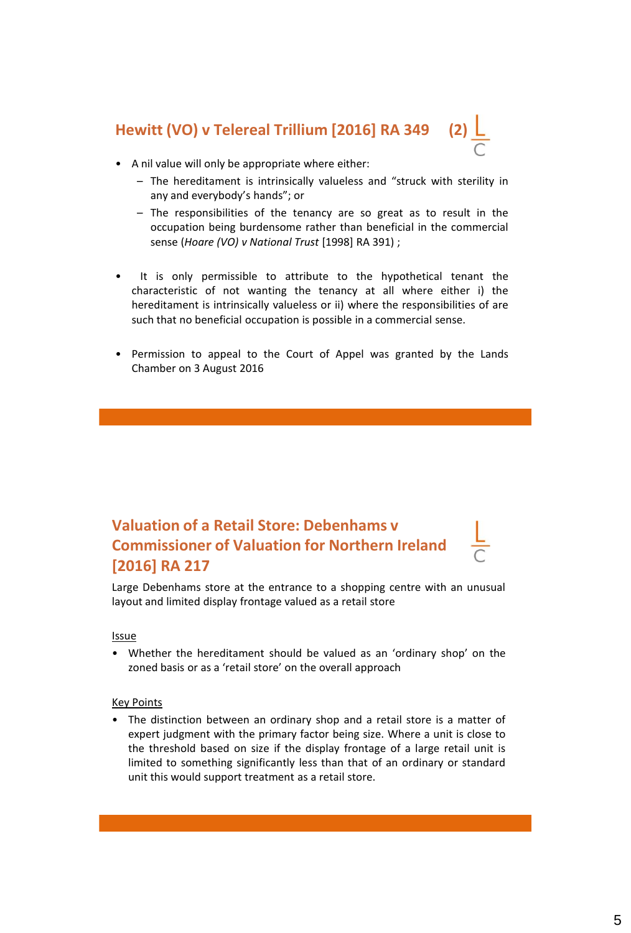## **Hewitt (VO) v Telereal Trillium [2016] RA 349**

- A nil value will only be appropriate where either:
	- The hereditament is intrinsically valueless and "struck with sterility in any and everybody's hands"; or
	- The responsibilities of the tenancy are so great as to result in the occupation being burdensome rather than beneficial in the commercial sense (*Hoare (VO) v National Trust* [1998] RA 391) ;
- It is only permissible to attribute to the hypothetical tenant the characteristic of not wanting the tenancy at all where either i) the hereditament is intrinsically valueless or ii) where the responsibilities of are such that no beneficial occupation is possible in a commercial sense.
- Permission to appeal to the Court of Appel was granted by the Lands Chamber on 3 August 2016

### **Valuation of a Retail Store: Debenhams v Commissioner of Valuation for Northern Ireland [2016] RA 217**

Large Debenhams store at the entrance to a shopping centre with an unusual layout and limited display frontage valued as a retail store

#### Issue

• Whether the hereditament should be valued as an 'ordinary shop' on the zoned basis or as a 'retail store' on the overall approach

#### Key Points

• The distinction between an ordinary shop and a retail store is a matter of expert judgment with the primary factor being size. Where a unit is close to the threshold based on size if the display frontage of a large retail unit is limited to something significantly less than that of an ordinary or standard unit this would support treatment as a retail store.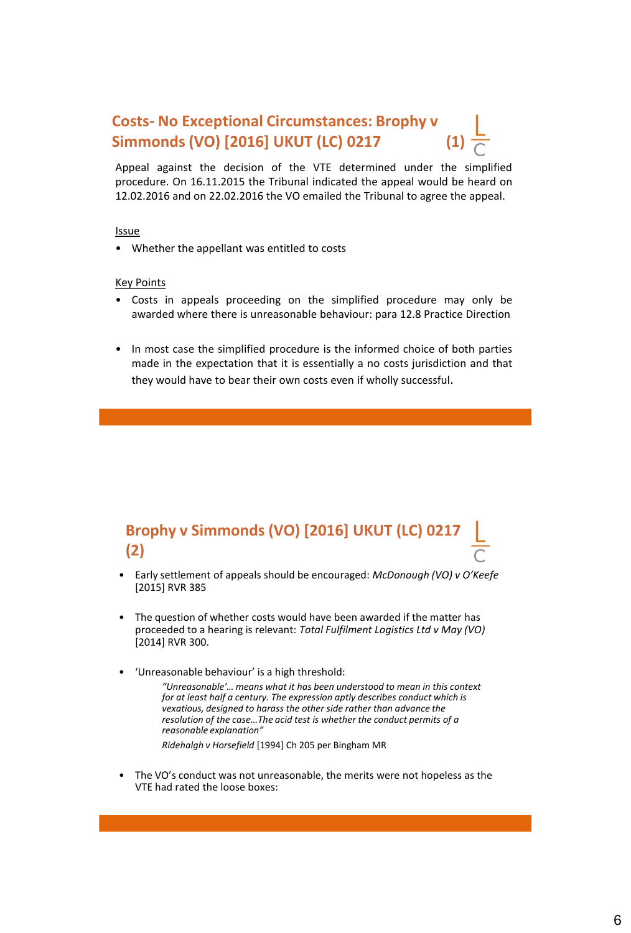### **Costs- No Exceptional Circumstances: Brophy v Simmonds (VO) [2016] UKUT (LC) 0217**

Appeal against the decision of the VTE determined under the simplified procedure. On 16.11.2015 the Tribunal indicated the appeal would be heard on 12.02.2016 and on 22.02.2016 the VO emailed the Tribunal to agree the appeal.

#### Issue

• Whether the appellant was entitled to costs

#### Key Points

- Costs in appeals proceeding on the simplified procedure may only be awarded where there is unreasonable behaviour: para 12.8 Practice Direction
- In most case the simplified procedure is the informed choice of both parties made in the expectation that it is essentially a no costs jurisdiction and that they would have to bear their own costs even if wholly successful.

### **Brophy v Simmonds (VO) [2016] UKUT (LC) 0217 (2)**

- Early settlement of appeals should be encouraged: *McDonough (VO) v O'Keefe* [2015] RVR 385
- The question of whether costs would have been awarded if the matter has proceeded to a hearing is relevant: *Total Fulfilment Logistics Ltd v May (VO)*  [2014] RVR 300.
- 'Unreasonable behaviour' is a high threshold:

*"Unreasonable'… means what it has been understood to mean in this context for at least half a century. The expression aptly describes conduct which is vexatious, designed to harass the other side rather than advance the resolution of the case…The acid test is whether the conduct permits of a reasonable explanation"*

*Ridehalgh v Horsefield* [1994] Ch 205 per Bingham MR

• The VO's conduct was not unreasonable, the merits were not hopeless as the VTE had rated the loose boxes: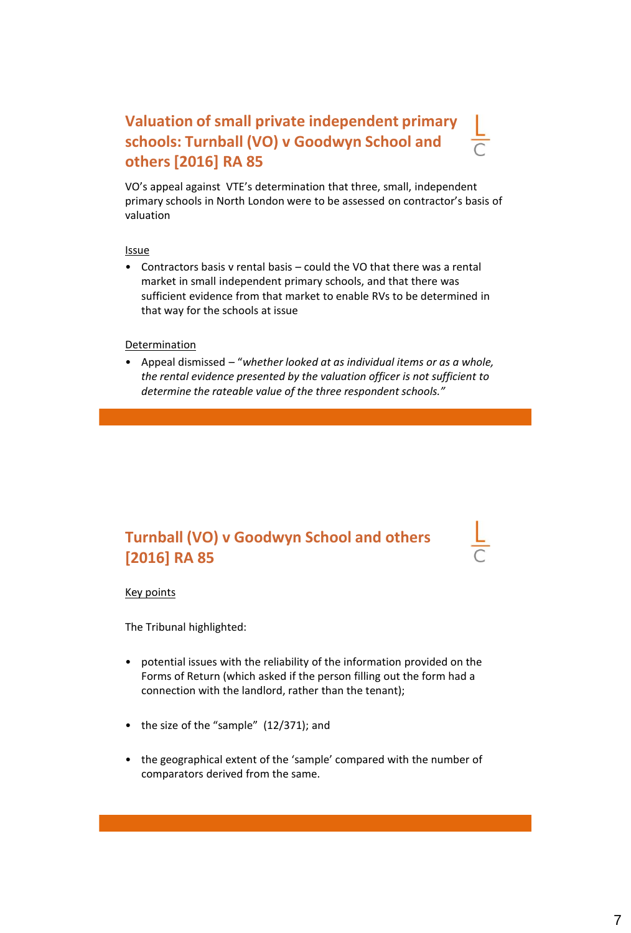### **Valuation of small private independent primary schools: Turnball (VO) v Goodwyn School and others [2016] RA 85**

VO's appeal against VTE's determination that three, small, independent primary schools in North London were to be assessed on contractor's basis of valuation

Issue

• Contractors basis v rental basis – could the VO that there was a rental market in small independent primary schools, and that there was sufficient evidence from that market to enable RVs to be determined in that way for the schools at issue

#### **Determination**

• Appeal dismissed – "*whether looked at as individual items or as a whole, the rental evidence presented by the valuation officer is not sufficient to determine the rateable value of the three respondent schools."*

### **Turnball (VO) v Goodwyn School and others [2016] RA 85**

#### Key points

The Tribunal highlighted:

- potential issues with the reliability of the information provided on the Forms of Return (which asked if the person filling out the form had a connection with the landlord, rather than the tenant);
- the size of the "sample" (12/371); and
- the geographical extent of the 'sample' compared with the number of comparators derived from the same.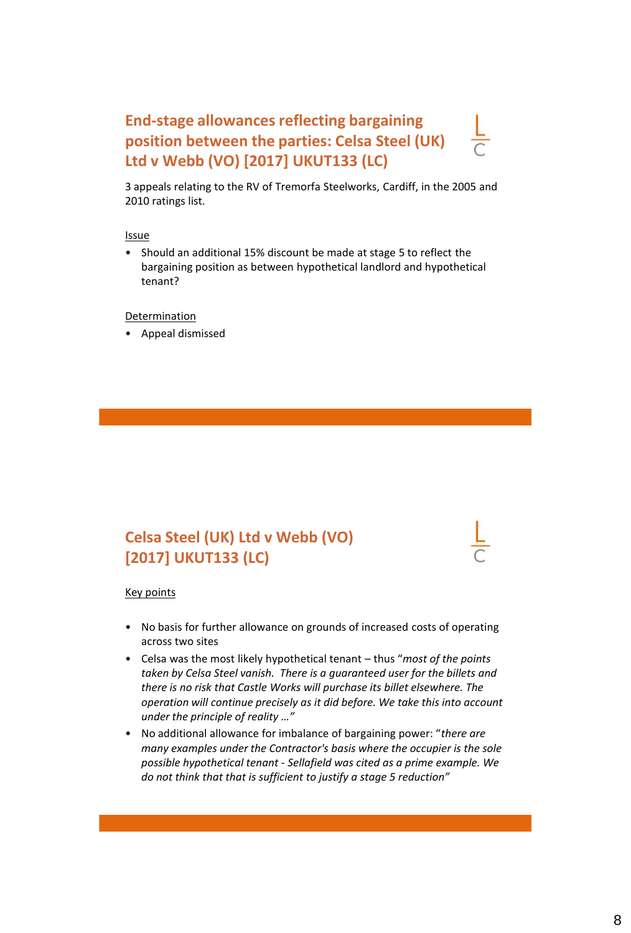### **End-stage allowances reflecting bargaining position between the parties: Celsa Steel (UK) Ltd v Webb (VO) [2017] UKUT133 (LC)**

3 appeals relating to the RV of Tremorfa Steelworks, Cardiff, in the 2005 and 2010 ratings list.

Issue

• Should an additional 15% discount be made at stage 5 to reflect the bargaining position as between hypothetical landlord and hypothetical tenant?

Determination

• Appeal dismissed

### **Celsa Steel (UK) Ltd v Webb (VO) [2017] UKUT133 (LC)**

- No basis for further allowance on grounds of increased costs of operating across two sites
- Celsa was the most likely hypothetical tenant thus "*most of the points taken by Celsa Steel vanish. There is a guaranteed user for the billets and there is no risk that Castle Works will purchase its billet elsewhere. The operation will continue precisely as it did before. We take this into account under the principle of reality …"*
- No additional allowance for imbalance of bargaining power: "*there are many examples under the Contractor's basis where the occupier is the sole possible hypothetical tenant - Sellafield was cited as a prime example. We do not think that that is sufficient to justify a stage 5 reduction"*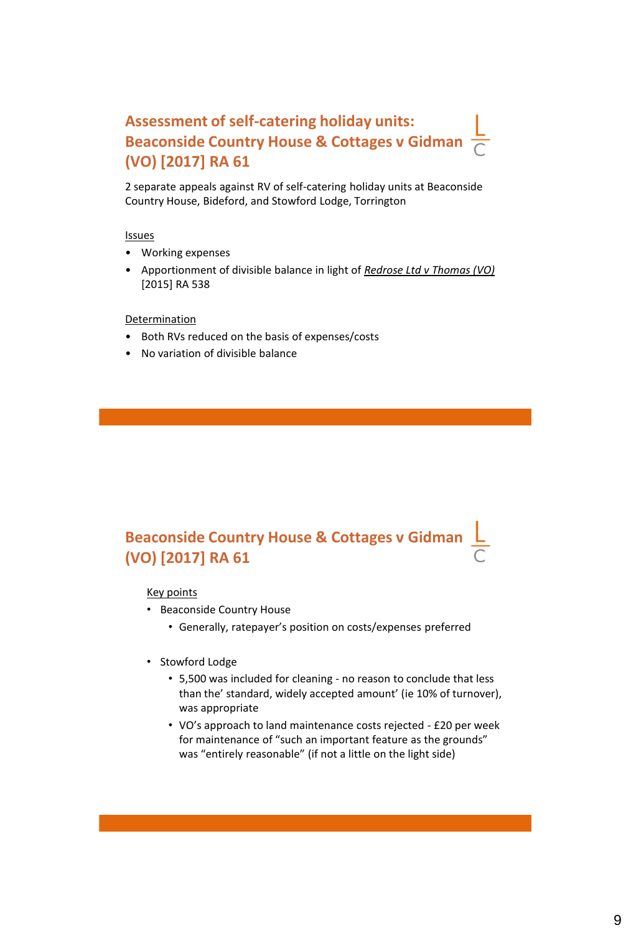### **Assessment of self-catering holiday units: Beaconside Country House & Cottages v Gidman (VO) [2017] RA 61**

2 separate appeals against RV of self-catering holiday units at Beaconside Country House, Bideford, and Stowford Lodge, Torrington

#### Issues

- Working expenses
- Apportionment of divisible balance in light of *Redrose Ltd v Thomas (VO)*  [2015] RA 538

#### **Determination**

- Both RVs reduced on the basis of expenses/costs
- No variation of divisible balance

### **Beaconside Country House & Cottages v Gidman (VO) [2017] RA 61**

- Beaconside Country House
	- Generally, ratepayer's position on costs/expenses preferred
- Stowford Lodge
	- 5,500 was included for cleaning no reason to conclude that less than the' standard, widely accepted amount' (ie 10% of turnover), was appropriate
	- VO's approach to land maintenance costs rejected £20 per week for maintenance of "such an important feature as the grounds" was "entirely reasonable" (if not a little on the light side)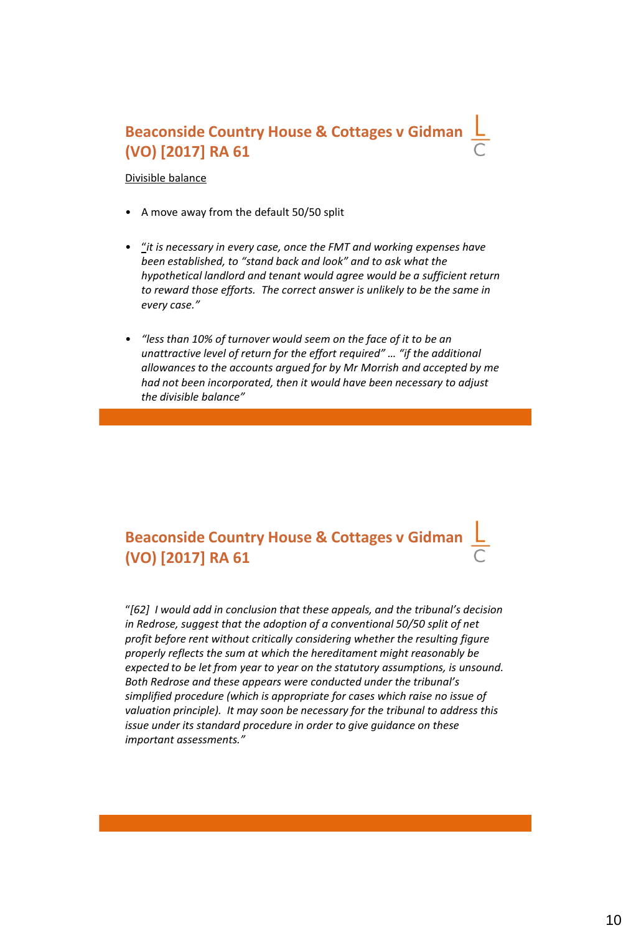### **Beaconside Country House & Cottages v Gidman (VO) [2017] RA 61**

Divisible balance

- A move away from the default 50/50 split
- "*it is necessary in every case, once the FMT and working expenses have been established, to "stand back and look" and to ask what the hypothetical landlord and tenant would agree would be a sufficient return to reward those efforts. The correct answer is unlikely to be the same in every case."*
- *"less than 10% of turnover would seem on the face of it to be an unattractive level of return for the effort required" … "if the additional allowances to the accounts argued for by Mr Morrish and accepted by me had not been incorporated, then it would have been necessary to adjust the divisible balance"*

### **Beaconside Country House & Cottages v Gidman (VO) [2017] RA 61**

"*[62] I would add in conclusion that these appeals, and the tribunal's decision in Redrose, suggest that the adoption of a conventional 50/50 split of net profit before rent without critically considering whether the resulting figure properly reflects the sum at which the hereditament might reasonably be expected to be let from year to year on the statutory assumptions, is unsound. Both Redrose and these appears were conducted under the tribunal's simplified procedure (which is appropriate for cases which raise no issue of valuation principle). It may soon be necessary for the tribunal to address this issue under its standard procedure in order to give guidance on these important assessments."*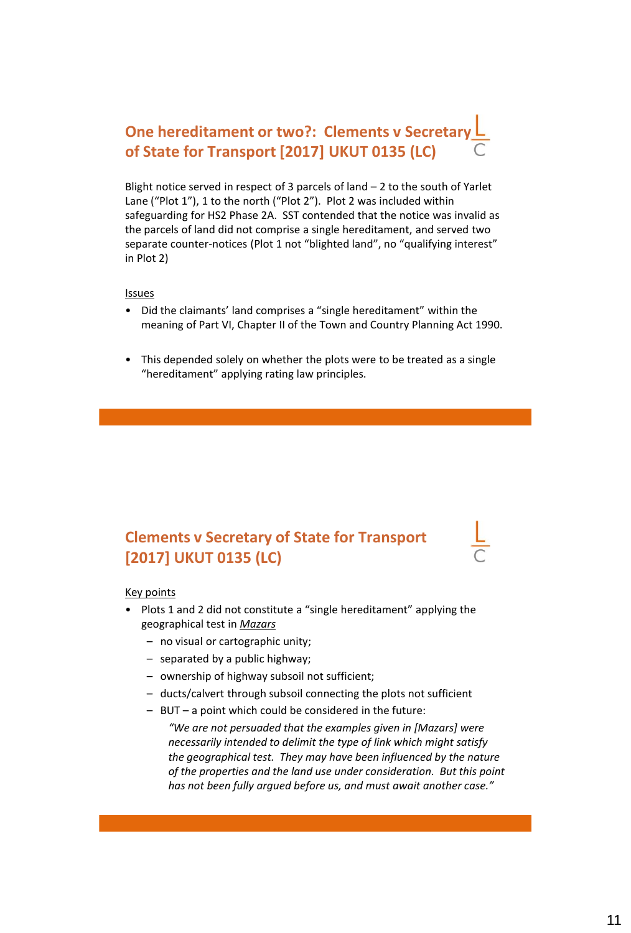### **One hereditament or two?: Clements v Secretar of State for Transport [2017] UKUT 0135 (LC)**

Blight notice served in respect of 3 parcels of land – 2 to the south of Yarlet Lane ("Plot 1"), 1 to the north ("Plot 2"). Plot 2 was included within safeguarding for HS2 Phase 2A. SST contended that the notice was invalid as the parcels of land did not comprise a single hereditament, and served two separate counter-notices (Plot 1 not "blighted land", no "qualifying interest" in Plot 2)

#### Issues

- Did the claimants' land comprises a "single hereditament" within the meaning of Part VI, Chapter II of the Town and Country Planning Act 1990.
- This depended solely on whether the plots were to be treated as a single "hereditament" applying rating law principles.

#### **Clements v Secretary of State for Transport [2017] UKUT 0135 (LC)**

#### Key points

- Plots 1 and 2 did not constitute a "single hereditament" applying the geographical test in *Mazars*
	- no visual or cartographic unity;
	- separated by a public highway;
	- ownership of highway subsoil not sufficient;
	- ducts/calvert through subsoil connecting the plots not sufficient
	- BUT a point which could be considered in the future:

*"We are not persuaded that the examples given in [Mazars] were necessarily intended to delimit the type of link which might satisfy the geographical test. They may have been influenced by the nature of the properties and the land use under consideration. But this point has not been fully argued before us, and must await another case."*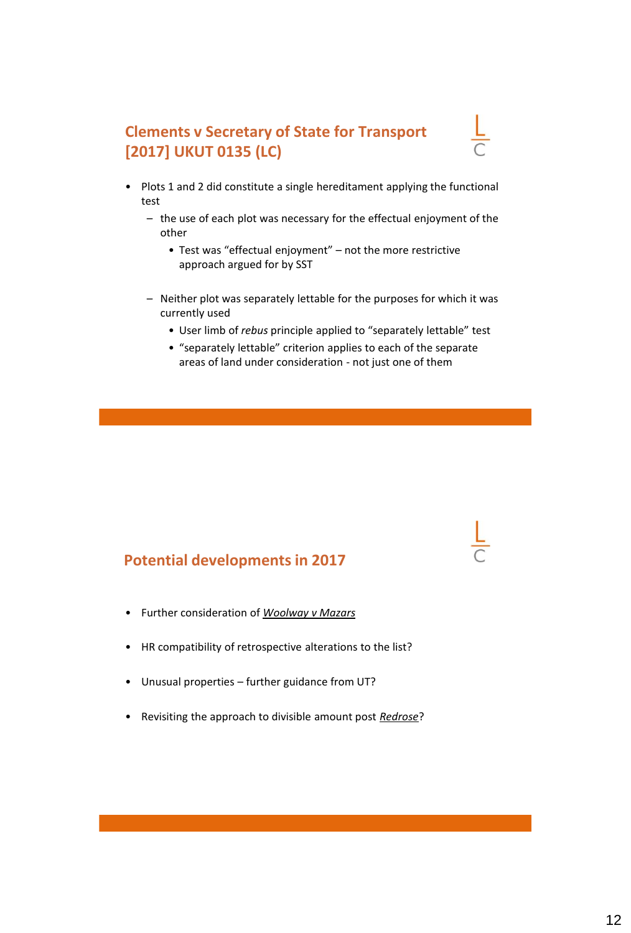### **Clements v Secretary of State for Transport [2017] UKUT 0135 (LC)**

- Plots 1 and 2 did constitute a single hereditament applying the functional test
	- the use of each plot was necessary for the effectual enjoyment of the other
		- Test was "effectual enjoyment" not the more restrictive approach argued for by SST
	- Neither plot was separately lettable for the purposes for which it was currently used
		- User limb of *rebus* principle applied to "separately lettable" test
		- "separately lettable" criterion applies to each of the separate areas of land under consideration - not just one of them

#### **Potential developments in 2017**

- Further consideration of *Woolway v Mazars*
- HR compatibility of retrospective alterations to the list?
- Unusual properties further guidance from UT?
- Revisiting the approach to divisible amount post *Redrose*?